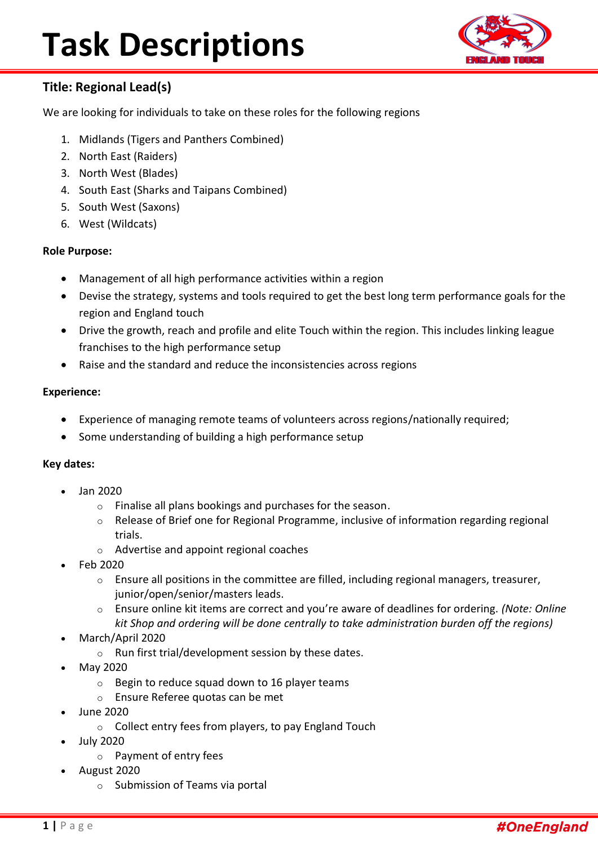

### **Title: Regional Lead(s)**

We are looking for individuals to take on these roles for the following regions

- 1. Midlands (Tigers and Panthers Combined)
- 2. North East (Raiders)
- 3. North West (Blades)
- 4. South East (Sharks and Taipans Combined)
- 5. South West (Saxons)
- 6. West (Wildcats)

#### **Role Purpose:**

- Management of all high performance activities within a region
- Devise the strategy, systems and tools required to get the best long term performance goals for the region and England touch
- Drive the growth, reach and profile and elite Touch within the region. This includes linking league franchises to the high performance setup
- Raise and the standard and reduce the inconsistencies across regions

#### **Experience:**

- Experience of managing remote teams of volunteers across regions/nationally required;
- Some understanding of building a high performance setup

#### **Key dates:**

- Jan 2020
	- o Finalise all plans bookings and purchases for the season.
	- o Release of Brief one for Regional Programme, inclusive of information regarding regional trials.
	- o Advertise and appoint regional coaches
- Feb 2020
	- $\circ$  Ensure all positions in the committee are filled, including regional managers, treasurer, junior/open/senior/masters leads.
	- o Ensure online kit items are correct and you're aware of deadlines for ordering. *(Note: Online kit Shop and ordering will be done centrally to take administration burden off the regions)*
- March/April 2020
	- o Run first trial/development session by these dates.
- May 2020
	- o Begin to reduce squad down to 16 player teams
	- o Ensure Referee quotas can be met
- June 2020
	- o Collect entry fees from players, to pay England Touch
- July 2020
	- o Payment of entry fees
- August 2020
	- o Submission of Teams via portal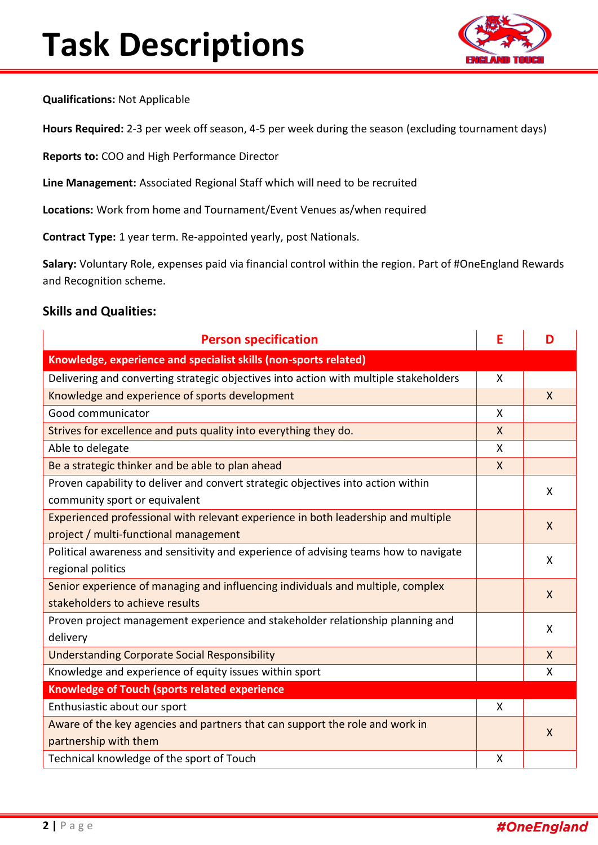

**Qualifications:** Not Applicable

**Hours Required:** 2-3 per week off season, 4-5 per week during the season (excluding tournament days)

**Reports to:** COO and High Performance Director

**Line Management:** Associated Regional Staff which will need to be recruited

**Locations:** Work from home and Tournament/Event Venues as/when required

**Contract Type:** 1 year term. Re-appointed yearly, post Nationals.

**Salary:** Voluntary Role, expenses paid via financial control within the region. Part of #OneEngland Rewards and Recognition scheme.

#### **Skills and Qualities:**

| <b>Person specification</b>                                                           | E            | D            |  |
|---------------------------------------------------------------------------------------|--------------|--------------|--|
| Knowledge, experience and specialist skills (non-sports related)                      |              |              |  |
| Delivering and converting strategic objectives into action with multiple stakeholders | X            |              |  |
| Knowledge and experience of sports development                                        |              | $\mathsf{X}$ |  |
| Good communicator                                                                     | X            |              |  |
| Strives for excellence and puts quality into everything they do.                      | $\mathsf{X}$ |              |  |
| Able to delegate                                                                      | $\mathsf{x}$ |              |  |
| Be a strategic thinker and be able to plan ahead                                      | $\mathsf{X}$ |              |  |
| Proven capability to deliver and convert strategic objectives into action within      |              | X            |  |
| community sport or equivalent                                                         |              |              |  |
| Experienced professional with relevant experience in both leadership and multiple     |              | $\mathsf{X}$ |  |
| project / multi-functional management                                                 |              |              |  |
| Political awareness and sensitivity and experience of advising teams how to navigate  |              | X            |  |
| regional politics                                                                     |              |              |  |
| Senior experience of managing and influencing individuals and multiple, complex       |              | X            |  |
| stakeholders to achieve results                                                       |              |              |  |
| Proven project management experience and stakeholder relationship planning and        |              | X            |  |
| delivery                                                                              |              |              |  |
| <b>Understanding Corporate Social Responsibility</b>                                  |              | $\mathsf{X}$ |  |
| Knowledge and experience of equity issues within sport                                |              | X            |  |
| <b>Knowledge of Touch (sports related experience</b>                                  |              |              |  |
| Enthusiastic about our sport                                                          | X            |              |  |
| Aware of the key agencies and partners that can support the role and work in          |              | $\mathsf{X}$ |  |
| partnership with them                                                                 |              |              |  |
| Technical knowledge of the sport of Touch                                             | X            |              |  |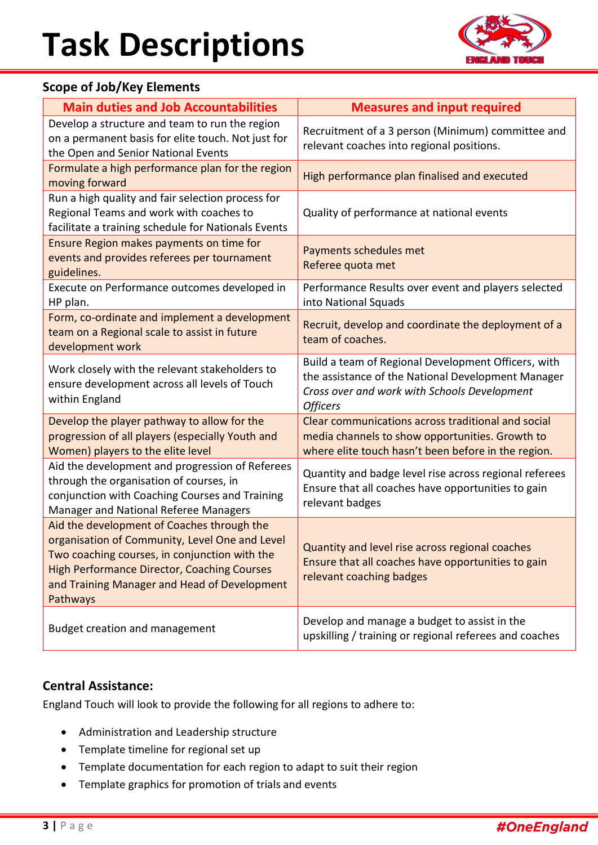

### **Scope of Job/Key Elements**

| <b>Main duties and Job Accountabilities</b>                                                                                                                                                                                                                     | <b>Measures and input required</b>                                                                                                                                           |  |
|-----------------------------------------------------------------------------------------------------------------------------------------------------------------------------------------------------------------------------------------------------------------|------------------------------------------------------------------------------------------------------------------------------------------------------------------------------|--|
| Develop a structure and team to run the region<br>on a permanent basis for elite touch. Not just for<br>the Open and Senior National Events                                                                                                                     | Recruitment of a 3 person (Minimum) committee and<br>relevant coaches into regional positions.                                                                               |  |
| Formulate a high performance plan for the region<br>moving forward                                                                                                                                                                                              | High performance plan finalised and executed                                                                                                                                 |  |
| Run a high quality and fair selection process for<br>Regional Teams and work with coaches to<br>facilitate a training schedule for Nationals Events                                                                                                             | Quality of performance at national events                                                                                                                                    |  |
| Ensure Region makes payments on time for<br>events and provides referees per tournament<br>guidelines.                                                                                                                                                          | Payments schedules met<br>Referee quota met                                                                                                                                  |  |
| Execute on Performance outcomes developed in<br>HP plan.                                                                                                                                                                                                        | Performance Results over event and players selected<br>into National Squads                                                                                                  |  |
| Form, co-ordinate and implement a development<br>team on a Regional scale to assist in future<br>development work                                                                                                                                               | Recruit, develop and coordinate the deployment of a<br>team of coaches.                                                                                                      |  |
| Work closely with the relevant stakeholders to<br>ensure development across all levels of Touch<br>within England                                                                                                                                               | Build a team of Regional Development Officers, with<br>the assistance of the National Development Manager<br>Cross over and work with Schools Development<br><b>Officers</b> |  |
| Develop the player pathway to allow for the<br>progression of all players (especially Youth and<br>Women) players to the elite level                                                                                                                            | Clear communications across traditional and social<br>media channels to show opportunities. Growth to<br>where elite touch hasn't been before in the region.                 |  |
| Aid the development and progression of Referees<br>through the organisation of courses, in<br>conjunction with Coaching Courses and Training<br>Manager and National Referee Managers                                                                           | Quantity and badge level rise across regional referees<br>Ensure that all coaches have opportunities to gain<br>relevant badges                                              |  |
| Aid the development of Coaches through the<br>organisation of Community, Level One and Level<br>Two coaching courses, in conjunction with the<br><b>High Performance Director, Coaching Courses</b><br>and Training Manager and Head of Development<br>Pathways | Quantity and level rise across regional coaches<br>Ensure that all coaches have opportunities to gain<br>relevant coaching badges                                            |  |
| <b>Budget creation and management</b>                                                                                                                                                                                                                           | Develop and manage a budget to assist in the<br>upskilling / training or regional referees and coaches                                                                       |  |

### **Central Assistance:**

England Touch will look to provide the following for all regions to adhere to:

- Administration and Leadership structure
- Template timeline for regional set up
- Template documentation for each region to adapt to suit their region
- Template graphics for promotion of trials and events